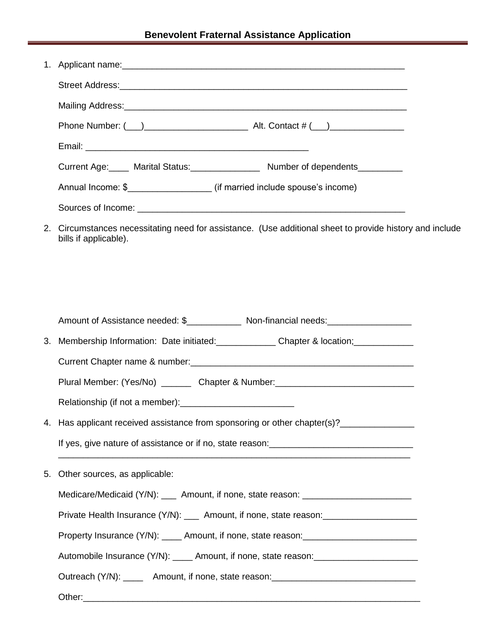|    | Current Age: Marital Status: Number of dependents                                                                                 |
|----|-----------------------------------------------------------------------------------------------------------------------------------|
|    |                                                                                                                                   |
|    |                                                                                                                                   |
|    | 2. Circumstances necessitating need for assistance. (Use additional sheet to provide history and include<br>bills if applicable). |
|    |                                                                                                                                   |
|    | Amount of Assistance needed: \$_______________ Non-financial needs:_______________                                                |
| 3. | Membership Information: Date initiated:<br><u> Letter and Chapter &amp; location;</u>                                             |
|    |                                                                                                                                   |
|    | Plural Member: (Yes/No) ________ Chapter & Number: _____________________________                                                  |
|    |                                                                                                                                   |
|    | 4. Has applicant received assistance from sponsoring or other chapter(s)?______________                                           |
|    |                                                                                                                                   |
| 5. | Other sources, as applicable:                                                                                                     |
|    | Medicare/Medicaid (Y/N): ____ Amount, if none, state reason: ___________________                                                  |
|    | Private Health Insurance (Y/N): ____ Amount, if none, state reason: _____________                                                 |
|    | Property Insurance (Y/N): _____ Amount, if none, state reason: __________________                                                 |
|    | Automobile Insurance (Y/N): _____ Amount, if none, state reason: ________________                                                 |
|    | Outreach (Y/N): _______ Amount, if none, state reason: __________________________                                                 |
|    | Other:                                                                                                                            |